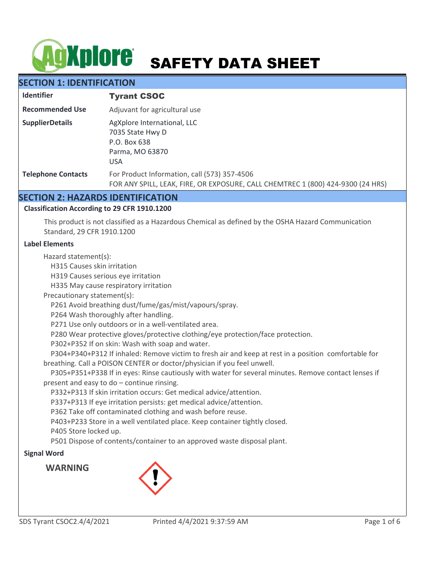# AgXplore SAFETY DATA SHEET

# **SECTION 1: IDENTIFICATION**

| <b>Identifier</b>         | <b>Tyrant CSOC</b>                                                                                                              |
|---------------------------|---------------------------------------------------------------------------------------------------------------------------------|
| <b>Recommended Use</b>    | Adjuvant for agricultural use                                                                                                   |
| <b>SupplierDetails</b>    | AgXplore International, LLC<br>7035 State Hwy D<br>P.O. Box 638<br>Parma, MO 63870<br><b>USA</b>                                |
| <b>Telephone Contacts</b> | For Product Information, call (573) 357-4506<br>FOR ANY SPILL, LEAK, FIRE, OR EXPOSURE, CALL CHEMTREC 1 (800) 424-9300 (24 HRS) |

# **SECTION 2: HAZARDS IDENTIFICATION**

#### **Classification According to 29 CFR 1910.1200**

This product is not classified as a Hazardous Chemical as defined by the OSHA Hazard Communication Standard, 29 CFR 1910.1200

#### **Label Elements**

Hazard statement(s):

H315 Causes skin irritation

H319 Causes serious eye irritation

H335 May cause respiratory irritation

Precautionary statement(s):

P261 Avoid breathing dust/fume/gas/mist/vapours/spray.

P264 Wash thoroughly after handling.

P271 Use only outdoors or in a well-ventilated area.

P280 Wear protective gloves/protective clothing/eye protection/face protection.

P302+P352 If on skin: Wash with soap and water.

 P304+P340+P312 If inhaled: Remove victim to fresh air and keep at rest in a position comfortable for breathing. Call a POISON CENTER or doctor/physician if you feel unwell.

 P305+P351+P338 If in eyes: Rinse cautiously with water for several minutes. Remove contact lenses if present and easy to do – continue rinsing.

P332+P313 If skin irritation occurs: Get medical advice/attention.

P337+P313 If eye irritation persists: get medical advice/attention.

P362 Take off contaminated clothing and wash before reuse.

P403+P233 Store in a well ventilated place. Keep container tightly closed.

P405 Store locked up.

P501 Dispose of contents/container to an approved waste disposal plant.

#### **Signal Word**

**WARNING**

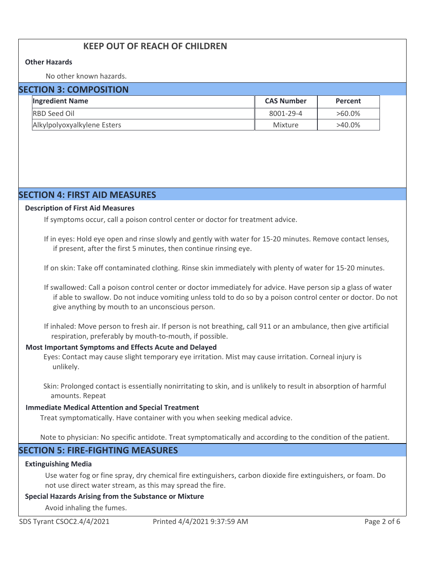# **KEEP OUT OF REACH OF CHILDREN**

#### **Other Hazards**

No other known hazards.

| <b>SECTION 3: COMPOSITION</b> |                             |                   |           |  |
|-------------------------------|-----------------------------|-------------------|-----------|--|
|                               | <b>Ingredient Name</b>      | <b>CAS Number</b> | Percent   |  |
|                               | <b>RBD Seed Oil</b>         | 8001-29-4         | $>60.0\%$ |  |
|                               | Alkylpolyoxyalkylene Esters | Mixture           | $>40.0\%$ |  |

# **SECTION 4: FIRST AID MEASURES**

#### **Description of First Aid Measures**

If symptoms occur, call a poison control center or doctor for treatment advice.

If in eyes: Hold eye open and rinse slowly and gently with water for 15-20 minutes. Remove contact lenses, if present, after the first 5 minutes, then continue rinsing eye.

If on skin: Take off contaminated clothing. Rinse skin immediately with plenty of water for 15-20 minutes.

If swallowed: Call a poison control center or doctor immediately for advice. Have person sip a glass of water if able to swallow. Do not induce vomiting unless told to do so by a poison control center or doctor. Do not give anything by mouth to an unconscious person.

If inhaled: Move person to fresh air. If person is not breathing, call 911 or an ambulance, then give artificial respiration, preferably by mouth-to-mouth, if possible.

#### **Most Important Symptoms and Effects Acute and Delayed**

Eyes: Contact may cause slight temporary eye irritation. Mist may cause irritation. Corneal injury is unlikely.

Skin: Prolonged contact is essentially nonirritating to skin, and is unlikely to result in absorption of harmful amounts. Repeat

#### **Immediate Medical Attention and Special Treatment**

Treat symptomatically. Have container with you when seeking medical advice.

Note to physician: No specific antidote. Treat symptomatically and according to the condition of the patient.

# **SECTION 5: FIRE-FIGHTING MEASURES**

#### **Extinguishing Media**

Use water fog or fine spray, dry chemical fire extinguishers, carbon dioxide fire extinguishers, or foam. Do not use direct water stream, as this may spread the fire.

#### **Special Hazards Arising from the Substance or Mixture**

Avoid inhaling the fumes.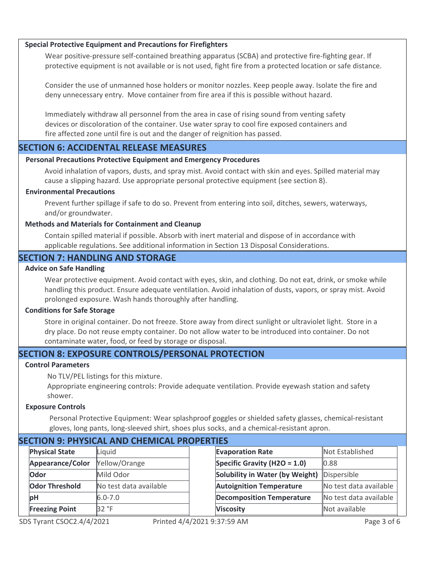#### **Special Protective Equipment and Precautions for Firefighters**

Wear positive-pressure self-contained breathing apparatus (SCBA) and protective fire-fighting gear. If protective equipment is not available or is not used, fight fire from a protected location or safe distance.

Consider the use of unmanned hose holders or monitor nozzles. Keep people away. Isolate the fire and deny unnecessary entry. Move container from fire area if this is possible without hazard.

Immediately withdraw all personnel from the area in case of rising sound from venting safety devices or discoloration of the container. Use water spray to cool fire exposed containers and fire affected zone until fire is out and the danger of reignition has passed.

#### **SECTION 6: ACCIDENTAL RELEASE MEASURES**

#### **Personal Precautions Protective Equipment and Emergency Procedures**

Avoid inhalation of vapors, dusts, and spray mist. Avoid contact with skin and eyes. Spilled material may cause a slipping hazard. Use appropriate personal protective equipment (see section 8).

#### **Environmental Precautions**

Prevent further spillage if safe to do so. Prevent from entering into soil, ditches, sewers, waterways, and/or groundwater.

#### **Methods and Materials for Containment and Cleanup**

Contain spilled material if possible. Absorb with inert material and dispose of in accordance with applicable regulations. See additional information in Section 13 Disposal Considerations.

#### **SECTION 7: HANDLING AND STORAGE**

#### **Advice on Safe Handling**

Wear protective equipment. Avoid contact with eyes, skin, and clothing. Do not eat, drink, or smoke while handling this product. Ensure adequate ventilation. Avoid inhalation of dusts, vapors, or spray mist. Avoid prolonged exposure. Wash hands thoroughly after handling.

#### **Conditions for Safe Storage**

Store in original container. Do not freeze. Store away from direct sunlight or ultraviolet light. Store in a dry place. Do not reuse empty container. Do not allow water to be introduced into container. Do not contaminate water, food, or feed by storage or disposal.

# **SECTION 8: EXPOSURE CONTROLS/PERSONAL PROTECTION**

#### **Control Parameters**

No TLV/PEL listings for this mixture.

Appropriate engineering controls: Provide adequate ventilation. Provide eyewash station and safety shower.

#### **Exposure Controls**

Personal Protective Equipment: Wear splashproof goggles or shielded safety glasses, chemical-resistant gloves, long pants, long-sleeved shirt, shoes plus socks, and a chemical-resistant apron.

| SECTION 9. PHTSICAL AND CHEIVIICAL PROPERTIES |                       |                        |  |                                  |                        |
|-----------------------------------------------|-----------------------|------------------------|--|----------------------------------|------------------------|
|                                               | <b>Physical State</b> | Liquid                 |  | <b>Evaporation Rate</b>          | Not Established        |
|                                               | Appearance/Color      | Yellow/Orange          |  | Specific Gravity (H2O = $1.0$ )  | 0.88                   |
|                                               | Odor                  | Mild Odor              |  | Solubility in Water (by Weight)  | Dispersible            |
|                                               | <b>Odor Threshold</b> | No test data available |  | <b>Autoignition Temperature</b>  | No test data available |
|                                               | рH                    | $6.0 - 7.0$            |  | <b>Decomposition Temperature</b> | No test data available |
|                                               | <b>Freezing Point</b> | 32 °F                  |  | <b>Viscosity</b>                 | Not available          |
|                                               |                       |                        |  |                                  |                        |

# **SECTION 9: PHYSICAL AND CHEMICAL PROPERTIES**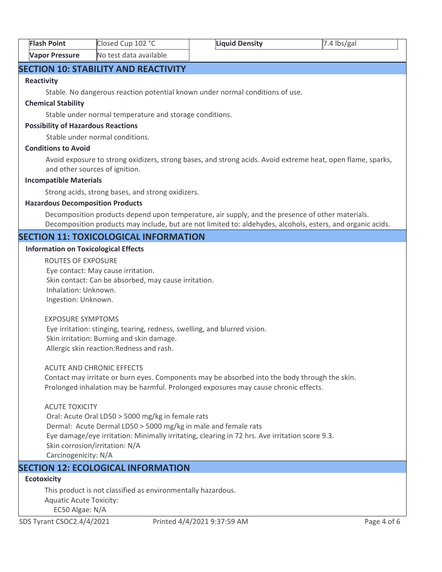| <b>Flash Point</b>    | Closed Cup 102 °C      | <b>Liquid Density</b> | $ 7.4 \text{ lbs/gal}$ |
|-----------------------|------------------------|-----------------------|------------------------|
| <b>Vapor Pressure</b> | No test data available |                       |                        |

# **SECTION 10: STABILITY AND REACTIVITY**

#### **Reactivity**

Stable. No dangerous reaction potential known under normal conditions of use.

#### **Chemical Stability**

Stable under normal temperature and storage conditions.

#### **Possibility of Hazardous Reactions**

Stable under normal conditions.

#### **Conditions to Avoid**

Avoid exposure to strong oxidizers, strong bases, and strong acids. Avoid extreme heat, open flame, sparks, and other sources of ignition.

#### **Incompatible Materials**

Strong acids, strong bases, and strong oxidizers.

#### **Hazardous Decomposition Products**

Decomposition products depend upon temperature, air supply, and the presence of other materials. Decomposition products may include, but are not limited to: aldehydes, alcohols, esters, and organic acids.

# **SECTION 11: TOXICOLOGICAL INFORMATION**

#### **Information on Toxicological Effects**

ROUTES OF EXPOSURE Eye contact: May cause irritation. Skin contact: Can be absorbed, may cause irritation. Inhalation: Unknown. Ingestion: Unknown.

#### EXPOSURE SYMPTOMS

 Eye irritation: stinging, tearing, redness, swelling, and blurred vision. Skin irritation: Burning and skin damage. Allergic skin reaction:Redness and rash.

#### ACUTE AND CHRONIC EFFECTS

Contact may irritate or burn eyes. Components may be absorbed into the body through the skin. Prolonged inhalation may be harmful. Prolonged exposures may cause chronic effects.

#### ACUTE TOXICITY

 Oral: Acute Oral LD50 > 5000 mg/kg in female rats Dermal: Acute Dermal LD50 > 5000 mg/kg in male and female rats Eye damage/eye irritation: Minimally irritating, clearing in 72 hrs. Ave irritation score 9.3. Skin corrosion/irritation: N/A Carcinogenicity: N/A

# **SECTION 12: ECOLOGICAL INFORMATION**

# **Ecotoxicity**

This product is not classified as environmentally hazardous. Aquatic Acute Toxicity: EC50 Algae: N/A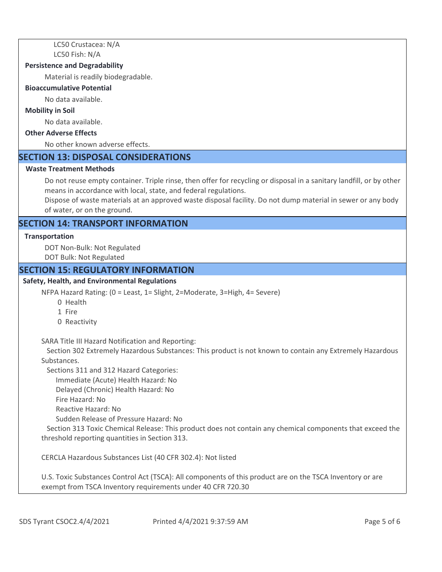LC50 Crustacea: N/A LC50 Fish: N/A

#### **Persistence and Degradability**

Material is readily biodegradable.

#### **Bioaccumulative Potential**

No data available.

#### **Mobility in Soil**

No data available.

#### **Other Adverse Effects**

No other known adverse effects.

#### **SECTION 13: DISPOSAL CONSIDERATIONS**

#### **Waste Treatment Methods**

Do not reuse empty container. Triple rinse, then offer for recycling or disposal in a sanitary landfill, or by other means in accordance with local, state, and federal regulations.

Dispose of waste materials at an approved waste disposal facility. Do not dump material in sewer or any body of water, or on the ground.

# **SECTION 14: TRANSPORT INFORMATION**

#### **Transportation**

DOT Non-Bulk: Not Regulated DOT Bulk: Not Regulated

#### **SECTION 15: REGULATORY INFORMATION**

#### **Safety, Health, and Environmental Regulations**

NFPA Hazard Rating: (0 = Least, 1= Slight, 2=Moderate, 3=High, 4= Severe)

- 0 Health
- 1 Fire
- 0 Reactivity

SARA Title III Hazard Notification and Reporting:

 Section 302 Extremely Hazardous Substances: This product is not known to contain any Extremely Hazardous Substances.

Sections 311 and 312 Hazard Categories:

Immediate (Acute) Health Hazard: No

Delayed (Chronic) Health Hazard: No

- Fire Hazard: No
- Reactive Hazard: No

Sudden Release of Pressure Hazard: No

 Section 313 Toxic Chemical Release: This product does not contain any chemical components that exceed the threshold reporting quantities in Section 313.

CERCLA Hazardous Substances List (40 CFR 302.4): Not listed

U.S. Toxic Substances Control Act (TSCA): All components of this product are on the TSCA Inventory or are exempt from TSCA Inventory requirements under 40 CFR 720.30